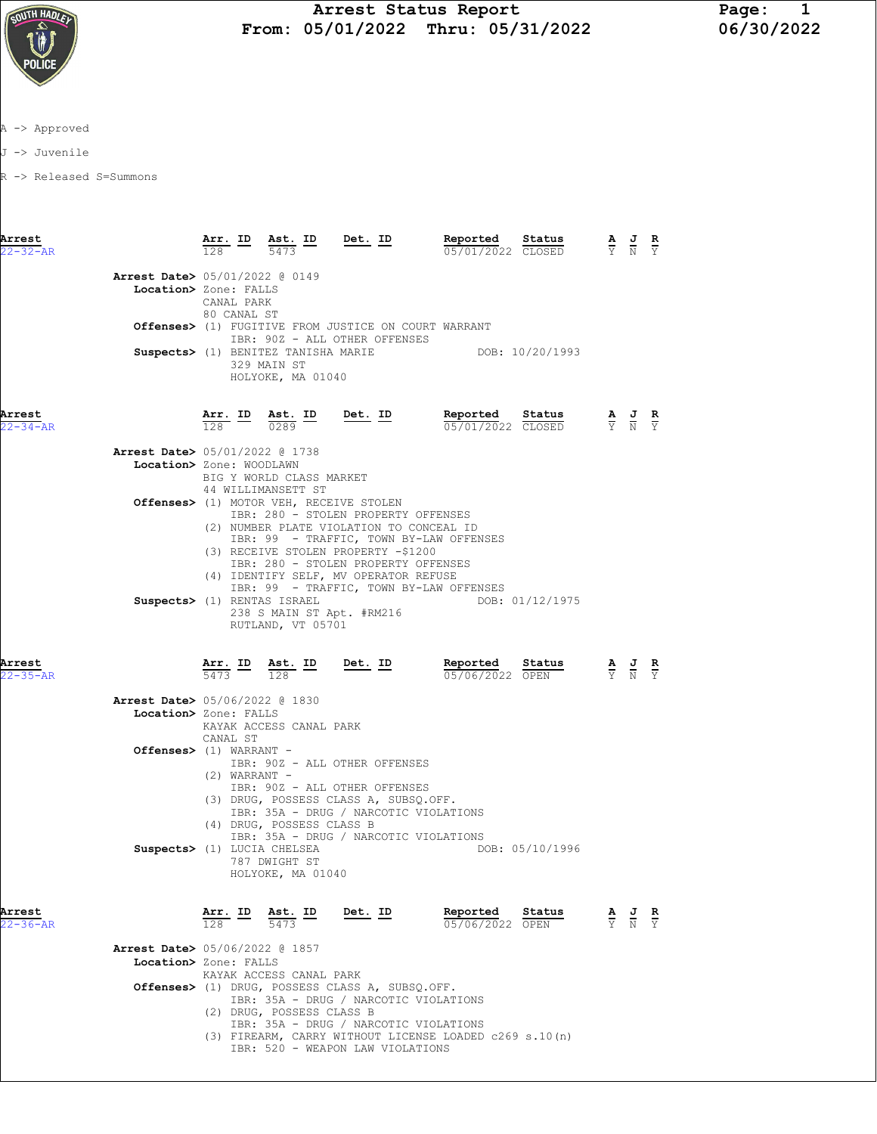

A -> Approved

J -> Juvenile

R -> Released S=Summons

| Arrest<br>$22 - 32 - AR$ |                                                                      | $\frac{\text{Arr.}}{100}$ ID<br>128                 | <u>Ast. ID</u><br>5473                                                  | Det. ID                                                                                                                                                                                                                                                                                      | Reported<br>05/01/2022 CLOSED                          | Status          | $\frac{\mathbf{A}}{\mathbf{Y}}$ $\frac{\mathbf{J}}{\mathbf{N}}$                                 | $rac{\mathbf{R}}{\mathbf{Y}}$ |
|--------------------------|----------------------------------------------------------------------|-----------------------------------------------------|-------------------------------------------------------------------------|----------------------------------------------------------------------------------------------------------------------------------------------------------------------------------------------------------------------------------------------------------------------------------------------|--------------------------------------------------------|-----------------|-------------------------------------------------------------------------------------------------|-------------------------------|
|                          | <b>Arrest Date&gt;</b> 05/01/2022 @ 0149<br>Location> Zone: FALLS    | CANAL PARK<br>80 CANAL ST                           |                                                                         |                                                                                                                                                                                                                                                                                              |                                                        |                 |                                                                                                 |                               |
|                          |                                                                      |                                                     |                                                                         | <b>Offenses&gt;</b> (1) FUGITIVE FROM JUSTICE ON COURT WARRANT<br>IBR: 90Z - ALL OTHER OFFENSES                                                                                                                                                                                              |                                                        |                 |                                                                                                 |                               |
|                          |                                                                      |                                                     | Suspects> (1) BENITEZ TANISHA MARIE<br>329 MAIN ST<br>HOLYOKE, MA 01040 |                                                                                                                                                                                                                                                                                              |                                                        | DOB: 10/20/1993 |                                                                                                 |                               |
| Arrest<br>$22 - 34 - AR$ |                                                                      |                                                     | $\frac{\texttt{Arr.}}{128}$ ID $\frac{\texttt{ Ast.}}{0289}$ ID Det. ID |                                                                                                                                                                                                                                                                                              | Reported<br>05/01/2022 CLOSED                          | Status          | $\frac{\mathbf{A}}{\mathbf{Y}}$ $\frac{\mathbf{J}}{\mathbf{N}}$ $\frac{\mathbf{R}}{\mathbf{Y}}$ |                               |
|                          | <b>Arrest Date&gt; 05/01/2022 @ 1738</b><br>Location> Zone: WOODLAWN |                                                     | BIG Y WORLD CLASS MARKET<br>44 WILLIMANSETT ST                          |                                                                                                                                                                                                                                                                                              |                                                        |                 |                                                                                                 |                               |
|                          |                                                                      |                                                     |                                                                         | Offenses> (1) MOTOR VEH, RECEIVE STOLEN<br>IBR: 280 - STOLEN PROPERTY OFFENSES<br>(2) NUMBER PLATE VIOLATION TO CONCEAL ID<br>IBR: 99 - TRAFFIC, TOWN BY-LAW OFFENSES<br>(3) RECEIVE STOLEN PROPERTY -\$1200<br>IBR: 280 - STOLEN PROPERTY OFFENSES<br>(4) IDENTIFY SELF, MV OPERATOR REFUSE |                                                        |                 |                                                                                                 |                               |
|                          | Suspects> (1) RENTAS ISRAEL                                          |                                                     | RUTLAND, VT 05701                                                       | IBR: 99 - TRAFFIC, TOWN BY-LAW OFFENSES<br>238 S MAIN ST Apt. #RM216                                                                                                                                                                                                                         |                                                        | DOB: 01/12/1975 |                                                                                                 |                               |
| Arrest<br>$22 - 35 - AR$ |                                                                      | $\frac{\texttt{Arr.}}{5473}$ ID                     | 128                                                                     |                                                                                                                                                                                                                                                                                              | Ast. ID Det. ID Reported<br>05/06/2022 OPEN            | Status          | $\frac{\mathbf{A}}{\mathbf{Y}}$ $\frac{\mathbf{J}}{\mathbf{N}}$                                 | $rac{\mathbf{R}}{\mathbf{Y}}$ |
|                          | <b>Arrest Date&gt;</b> 05/06/2022 @ 1830<br>Location> Zone: FALLS    | CANAL ST                                            | KAYAK ACCESS CANAL PARK                                                 |                                                                                                                                                                                                                                                                                              |                                                        |                 |                                                                                                 |                               |
|                          | Offenses> (1) WARRANT -                                              | $(2)$ WARRANT -                                     | (4) DRUG, POSSESS CLASS B                                               | IBR: 90Z - ALL OTHER OFFENSES<br>IBR: 90Z - ALL OTHER OFFENSES<br>(3) DRUG, POSSESS CLASS A, SUBSQ.OFF.<br>IBR: 35A - DRUG / NARCOTIC VIOLATIONS                                                                                                                                             |                                                        |                 |                                                                                                 |                               |
|                          | Suspects> (1) LUCIA CHELSEA                                          |                                                     | 787 DWIGHT ST<br>HOLYOKE, MA 01040                                      | IBR: 35A - DRUG / NARCOTIC VIOLATIONS                                                                                                                                                                                                                                                        |                                                        | DOB: 05/10/1996 |                                                                                                 |                               |
| Arrest<br>22-36-AR       |                                                                      | $\frac{\texttt{Arr.}}{128}$ $\frac{\texttt{ID}}{1}$ | <b>Ast.</b> ID<br>5473                                                  | <u>Det. ID</u>                                                                                                                                                                                                                                                                               | Reported<br>05/06/2022 OPEN                            | Status          | $\frac{\mathbf{A}}{\mathbf{Y}}$ $\frac{\mathbf{J}}{\mathbf{N}}$                                 | $rac{\mathbf{R}}{\mathbf{Y}}$ |
|                          | <b>Arrest Date&gt;</b> 05/06/2022 @ 1857<br>Location> Zone: FALLS    |                                                     | KAYAK ACCESS CANAL PARK                                                 |                                                                                                                                                                                                                                                                                              |                                                        |                 |                                                                                                 |                               |
|                          |                                                                      |                                                     | (2) DRUG, POSSESS CLASS B                                               | Offenses> (1) DRUG, POSSESS CLASS A, SUBSQ.OFF.<br>IBR: 35A - DRUG / NARCOTIC VIOLATIONS<br>IBR: 35A - DRUG / NARCOTIC VIOLATIONS                                                                                                                                                            |                                                        |                 |                                                                                                 |                               |
|                          |                                                                      |                                                     |                                                                         |                                                                                                                                                                                                                                                                                              | (3) FIREARM, CARRY WITHOUT LICENSE LOADED c269 s.10(n) |                 |                                                                                                 |                               |

IBR: 520 - WEAPON LAW VIOLATIONS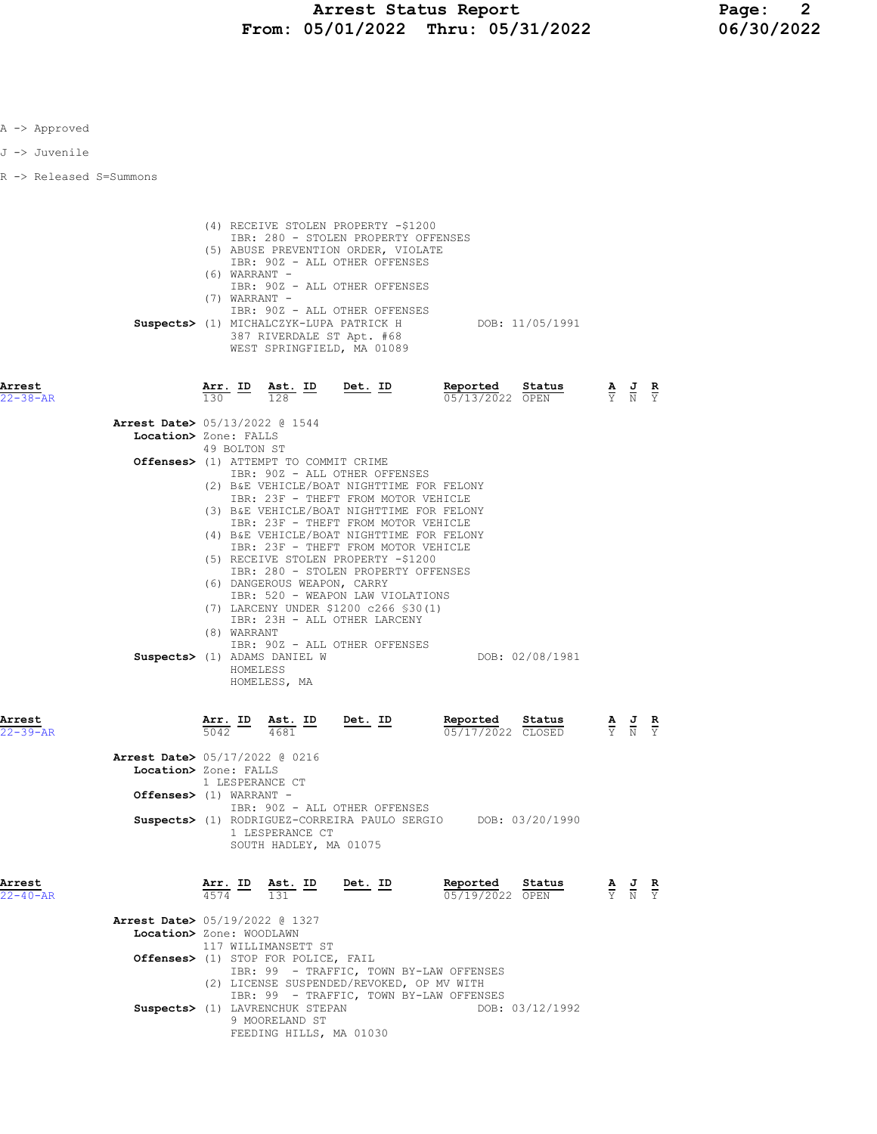| Α | -> Approved |  |
|---|-------------|--|
|   |             |  |

J -> Juvenile

R -> Released S=Summons

| Arrest<br>$22 - 40 - AR$ |                                                                                              |                                    | $\frac{\texttt{Arr.}}{4574}$ ID $\frac{\texttt{ Ast.}}{131}$ ID                                                                  | Det. ID                                                                                                                                                                                                                                                                                                                                                                                                                                                                                                                                                                                         | Reported Status<br>05/19/2022 OPEN                            |                              | $\frac{\mathbf{A}}{\mathbf{Y}}$ $\frac{\mathbf{J}}{\mathbf{N}}$ $\frac{\mathbf{R}}{\mathbf{Y}}$       |  |
|--------------------------|----------------------------------------------------------------------------------------------|------------------------------------|----------------------------------------------------------------------------------------------------------------------------------|-------------------------------------------------------------------------------------------------------------------------------------------------------------------------------------------------------------------------------------------------------------------------------------------------------------------------------------------------------------------------------------------------------------------------------------------------------------------------------------------------------------------------------------------------------------------------------------------------|---------------------------------------------------------------|------------------------------|-------------------------------------------------------------------------------------------------------|--|
|                          | <b>Arrest Date&gt; 05/17/2022 @ 0216</b><br>Location> Zone: FALLS<br>Offenses> (1) WARRANT - | 1 LESPERANCE CT                    | 1 LESPERANCE CT<br>SOUTH HADLEY, MA 01075                                                                                        | IBR: 90Z - ALL OTHER OFFENSES                                                                                                                                                                                                                                                                                                                                                                                                                                                                                                                                                                   | Suspects> (1) RODRIGUEZ-CORREIRA PAULO SERGIO DOB: 03/20/1990 |                              |                                                                                                       |  |
| Arrest<br>$22 - 39 - AR$ |                                                                                              |                                    |                                                                                                                                  | $\frac{\texttt{Arr.}}{5042}$ ID $\frac{\texttt{ Ast.}}{4681}$ ID Det. ID                                                                                                                                                                                                                                                                                                                                                                                                                                                                                                                        | Reported Status                                               | $\frac{1222022}{05/17/2022}$ | $\frac{\mathbf{A}}{\mathbf{Y}}$ $\frac{\mathbf{J}}{\mathbf{N}}$ $\frac{\mathbf{R}}{\mathbf{Y}}$       |  |
| Arrest<br>$22 - 38 - AR$ | <b>Arrest Date&gt;</b> 05/13/2022 @ 1544<br>Location> Zone: FALLS                            | 49 BOLTON ST<br>(8) WARRANT        | Offenses> (1) ATTEMPT TO COMMIT CRIME<br>(6) DANGEROUS WEAPON, CARRY<br>Suspects> (1) ADAMS DANIEL W<br>HOMELESS<br>HOMELESS, MA | $\frac{\texttt{Arr.}}{130}$ ID $\frac{\texttt{ Ast.}}{128}$ ID Det. ID<br>IBR: 90Z - ALL OTHER OFFENSES<br>(2) B&E VEHICLE/BOAT NIGHTTIME FOR FELONY<br>IBR: 23F - THEFT FROM MOTOR VEHICLE<br>(3) B&E VEHICLE/BOAT NIGHTTIME FOR FELONY<br>IBR: 23F - THEFT FROM MOTOR VEHICLE<br>(4) B&E VEHICLE/BOAT NIGHTTIME FOR FELONY<br>IBR: 23F - THEFT FROM MOTOR VEHICLE<br>(5) RECEIVE STOLEN PROPERTY -\$1200<br>IBR: 280 - STOLEN PROPERTY OFFENSES<br>IBR: 520 - WEAPON LAW VIOLATIONS<br>(7) LARCENY UNDER \$1200 c266 \$30(1)<br>IBR: 23H - ALL OTHER LARCENY<br>IBR: 90Z - ALL OTHER OFFENSES | Reported Status<br>05/13/2022 OPEN                            | DOB: 02/08/1981              | $\frac{\mathbf{A}}{\overline{Y}}$ $\frac{\mathbf{J}}{\overline{N}}$ $\frac{\mathbf{R}}{\overline{Y}}$ |  |
|                          |                                                                                              | $(6)$ WARRANT -<br>$(7)$ WARRANT - |                                                                                                                                  | (4) RECEIVE STOLEN PROPERTY -\$1200<br>IBR: 280 - STOLEN PROPERTY OFFENSES<br>(5) ABUSE PREVENTION ORDER, VIOLATE<br>IBR: 90Z - ALL OTHER OFFENSES<br>IBR: 90Z - ALL OTHER OFFENSES<br>IBR: 90Z - ALL OTHER OFFENSES<br>Suspects> (1) MICHALCZYK-LUPA PATRICK H<br>387 RIVERDALE ST Apt. #68<br>WEST SPRINGFIELD, MA 01089                                                                                                                                                                                                                                                                      |                                                               | DOB: 11/05/1991              |                                                                                                       |  |

| Arrest Date> 05/19/2022 @ 1327                     |
|----------------------------------------------------|
| Location> Zone: WOODLAWN                           |
| 117 WILLIMANSETT ST                                |
| Offenses> (1) STOP FOR POLICE, FAIL                |
| IBR: 99 - TRAFFIC, TOWN BY-LAW OFFENSES            |
| (2) LICENSE SUSPENDED/REVOKED, OP MV WITH          |
| IBR: 99 - TRAFFIC, TOWN BY-LAW OFFENSES            |
| DOB: 03/12/1992<br>Suspects> (1) LAVRENCHUK STEPAN |
| 9 MOORELAND ST                                     |
| FEEDING HILLS, MA 01030                            |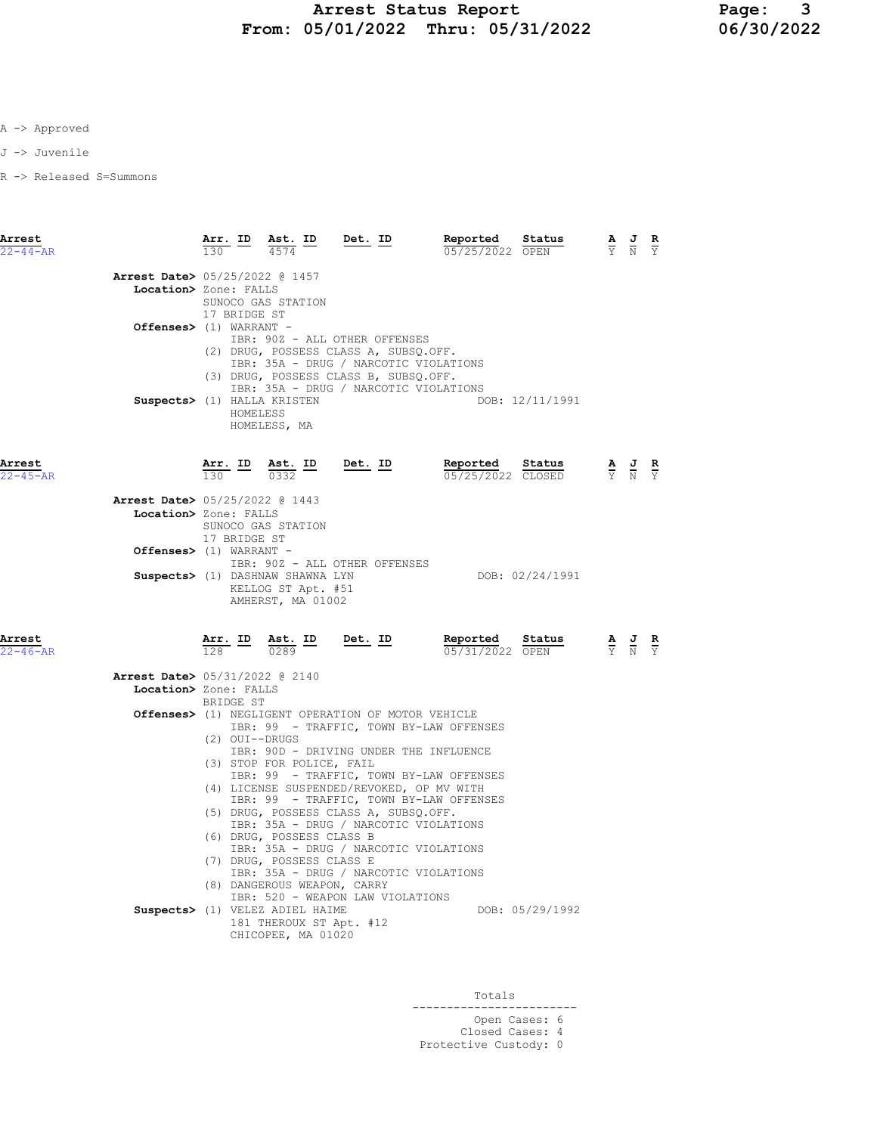A -> Approved

J -> Juvenile

R -> Released S=Summons

| Arrest<br>$22 - 44 - AR$ | $\frac{\text{Arr.}}{120}$ ID                                                                                 | Ast. ID<br>4574                                                                                                                                                                                        | <u>Det. ID</u>                                                                                                                                                                                                                                                                                                                                                                                                                                                                     | Reported<br>05/25/2022 OPEN | Status                      | $\frac{J}{N}$                                                                                   |  |
|--------------------------|--------------------------------------------------------------------------------------------------------------|--------------------------------------------------------------------------------------------------------------------------------------------------------------------------------------------------------|------------------------------------------------------------------------------------------------------------------------------------------------------------------------------------------------------------------------------------------------------------------------------------------------------------------------------------------------------------------------------------------------------------------------------------------------------------------------------------|-----------------------------|-----------------------------|-------------------------------------------------------------------------------------------------|--|
|                          | Arrest Date> 05/25/2022 @ 1457<br>Location> Zone: FALLS<br>17 BRIDGE ST<br>Offenses> (1) WARRANT -           | SUNOCO GAS STATION                                                                                                                                                                                     | IBR: 90Z - ALL OTHER OFFENSES<br>(2) DRUG, POSSESS CLASS A, SUBSQ.OFF.<br>IBR: 35A - DRUG / NARCOTIC VIOLATIONS                                                                                                                                                                                                                                                                                                                                                                    |                             |                             |                                                                                                 |  |
|                          | HOMELESS                                                                                                     | Suspects> (1) HALLA KRISTEN<br>HOMELESS, MA                                                                                                                                                            | (3) DRUG, POSSESS CLASS B, SUBSQ.OFF.<br>IBR: 35A - DRUG / NARCOTIC VIOLATIONS                                                                                                                                                                                                                                                                                                                                                                                                     |                             | DOB: 12/11/1991             |                                                                                                 |  |
| Arrest<br>$22 - 45 - AR$ |                                                                                                              | $\frac{\text{Arr.}}{130}$ ID $\frac{\text{Ast.}}{0332}$ ID Det. ID                                                                                                                                     |                                                                                                                                                                                                                                                                                                                                                                                                                                                                                    | Reported                    | Status<br>05/25/2022 CLOSED | $\frac{\mathbf{A}}{\mathbf{Y}}$ $\frac{\mathbf{J}}{\mathbf{N}}$                                 |  |
|                          | <b>Arrest Date&gt;</b> 05/25/2022 @ 1443<br>Location> Zone: FALLS<br>17 BRIDGE ST<br>Offenses> (1) WARRANT - | SUNOCO GAS STATION                                                                                                                                                                                     |                                                                                                                                                                                                                                                                                                                                                                                                                                                                                    |                             |                             |                                                                                                 |  |
|                          |                                                                                                              | Suspects> (1) DASHNAW SHAWNA LYN<br>KELLOG ST Apt. #51<br>AMHERST, MA 01002                                                                                                                            | IBR: 90Z - ALL OTHER OFFENSES                                                                                                                                                                                                                                                                                                                                                                                                                                                      |                             | DOB: 02/24/1991             |                                                                                                 |  |
| Arrest<br>$22 - 46 - AR$ |                                                                                                              | $\frac{\text{Arr.}}{128}$ ID $\frac{\text{Ast.}}{0289}$ ID                                                                                                                                             | Det. ID                                                                                                                                                                                                                                                                                                                                                                                                                                                                            | Reported<br>05/31/2022 OPEN | Status                      | $\frac{\mathbf{A}}{\mathbf{Y}}$ $\frac{\mathbf{J}}{\mathbf{N}}$ $\frac{\mathbf{R}}{\mathbf{Y}}$ |  |
|                          | Arrest Date> 05/31/2022 @ 2140<br>Location> Zone: FALLS<br>BRIDGE ST                                         |                                                                                                                                                                                                        |                                                                                                                                                                                                                                                                                                                                                                                                                                                                                    |                             |                             |                                                                                                 |  |
|                          | $(2)$ OUI--DRUGS                                                                                             | (3) STOP FOR POLICE, FAIL<br>(6) DRUG, POSSESS CLASS B<br>(7) DRUG, POSSESS CLASS E<br>(8) DANGEROUS WEAPON, CARRY<br>Suspects> (1) VELEZ ADIEL HAIME<br>181 THEROUX ST Apt. #12<br>CHICOPEE, MA 01020 | Offenses> (1) NEGLIGENT OPERATION OF MOTOR VEHICLE<br>IBR: 99 - TRAFFIC, TOWN BY-LAW OFFENSES<br>IBR: 90D - DRIVING UNDER THE INFLUENCE<br>IBR: 99 - TRAFFIC, TOWN BY-LAW OFFENSES<br>(4) LICENSE SUSPENDED/REVOKED, OP MV WITH<br>IBR: 99 - TRAFFIC, TOWN BY-LAW OFFENSES<br>(5) DRUG, POSSESS CLASS A, SUBSQ.OFF.<br>IBR: 35A - DRUG / NARCOTIC VIOLATIONS<br>IBR: 35A - DRUG / NARCOTIC VIOLATIONS<br>IBR: 35A - DRUG / NARCOTIC VIOLATIONS<br>IBR: 520 - WEAPON LAW VIOLATIONS |                             | DOB: 05/29/1992             |                                                                                                 |  |

**Totals** and the second second second second second second second second second second second second second second second second second second second second second second second second second second second second second se ------------------------ Open Cases: 6 Closed Cases: 4 Protective Custody: 0